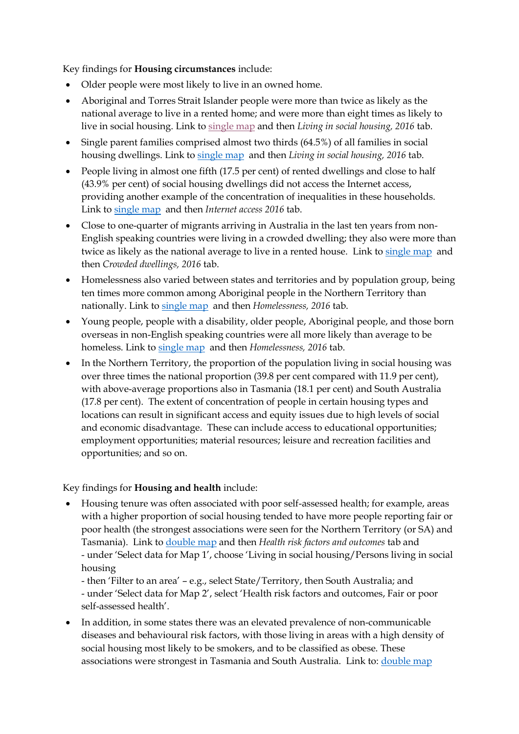Key findings for **Housing circumstances** include:

- Older people were most likely to live in an owned home.
- Aboriginal and Torres Strait Islander people were more than twice as likely as the national average to live in a rented home; and were more than eight times as likely to live in social housing. Link to [single map](https://phidu.torrens.edu.au/current/maps/sha-topics/housing/housing_single_atlas/atlas.html) and then *Living in social housing, 2016* tab.
- Single parent families comprised almost two thirds (64.5%) of all families in social housing dwellings. Link to [single map](https://phidu.torrens.edu.au/current/maps/sha-topics/housing/housing_single_atlas/atlas.html) and then *Living in social housing, 2016* tab.
- People living in almost one fifth (17.5 per cent) of rented dwellings and close to half (43.9% per cent) of social housing dwellings did not access the Internet access, providing another example of the concentration of inequalities in these households. Link to [single map](https://phidu.torrens.edu.au/current/maps/sha-topics/housing/housing_single_atlas/atlas.html) and then *Internet access 2016* tab.
- Close to one-quarter of migrants arriving in Australia in the last ten years from non-English speaking countries were living in a crowded dwelling; they also were more than twice as likely as the national average to live in a rented house. Link to [single map](https://phidu.torrens.edu.au/current/maps/sha-topics/housing/housing_single_atlas/atlas.html) and then *Crowded dwellings, 2016* tab.
- Homelessness also varied between states and territories and by population group, being ten times more common among Aboriginal people in the Northern Territory than nationally. Link to [single map](https://phidu.torrens.edu.au/current/maps/sha-topics/housing/housing_single_atlas/atlas.html) and then *Homelessness, 2016* tab.
- Young people, people with a disability, older people, Aboriginal people, and those born overseas in non-English speaking countries were all more likely than average to be homeless. Link to [single map](https://phidu.torrens.edu.au/current/maps/sha-topics/housing/housing_single_atlas/atlas.html) and then *Homelessness, 2016* tab.
- In the Northern Territory, the proportion of the population living in social housing was over three times the national proportion (39.8 per cent compared with 11.9 per cent), with above-average proportions also in Tasmania (18.1 per cent) and South Australia (17.8 per cent). The extent of concentration of people in certain housing types and locations can result in significant access and equity issues due to high levels of social and economic disadvantage. These can include access to educational opportunities; employment opportunities; material resources; leisure and recreation facilities and opportunities; and so on.

## Key findings for **Housing and health** include:

• Housing tenure was often associated with poor self-assessed health; for example, areas with a higher proportion of social housing tended to have more people reporting fair or poor health (the strongest associations were seen for the Northern Territory (or SA) and Tasmania). Link to [double map](https://phidu.torrens.edu.au/current/maps/sha-topics/housing/housing_double_atlas/atlas.html) and then *Health risk factors and outcomes* tab and - under 'Select data for Map 1', choose 'Living in social housing/Persons living in social housing

- then 'Filter to an area' – e.g., select State/Territory, then South Australia; and - under 'Select data for Map 2', select 'Health risk factors and outcomes, Fair or poor self-assessed health'.

• In addition, in some states there was an elevated prevalence of non-communicable diseases and behavioural risk factors, with those living in areas with a high density of social housing most likely to be smokers, and to be classified as obese. These associations were strongest in Tasmania and South Australia. Link to: [double map](https://phidu.torrens.edu.au/current/maps/sha-topics/housing/housing_double_atlas/atlas.html)